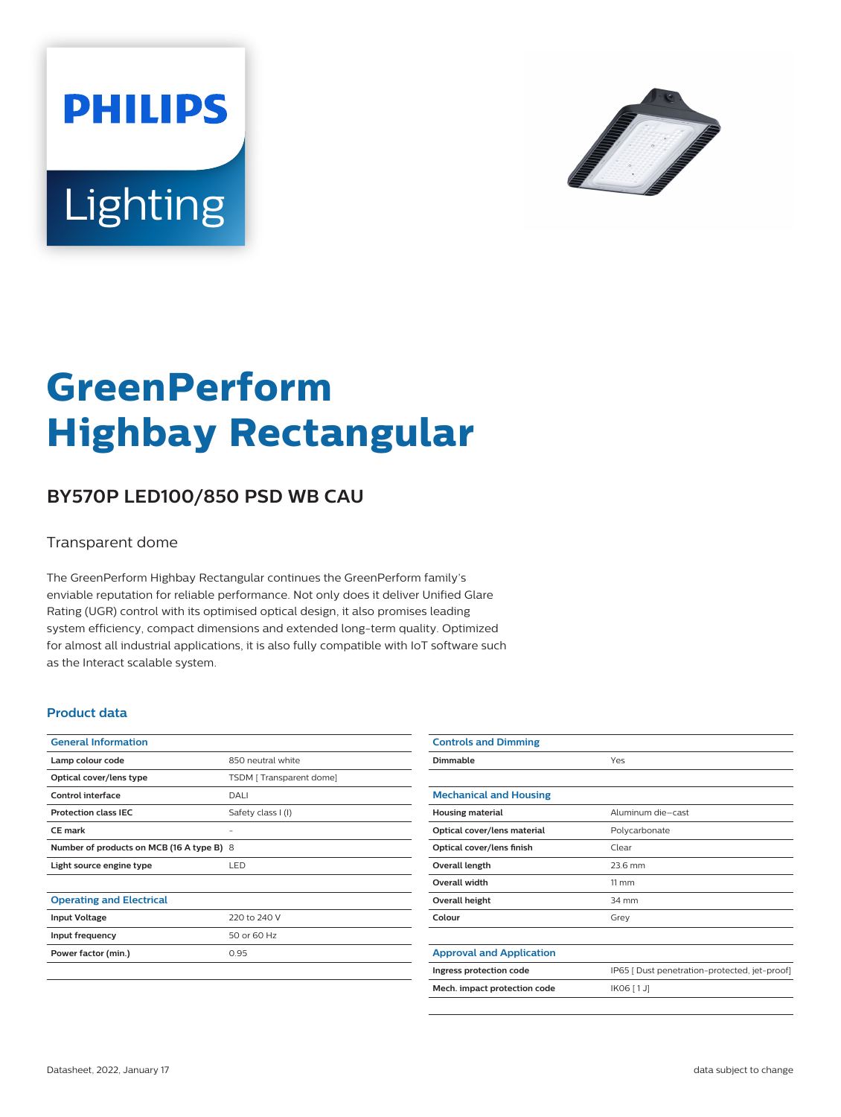



# **GreenPerform Highbay Rectangular**

## **BY570P LED100/850 PSD WB CAU**

#### Transparent dome

The GreenPerform Highbay Rectangular continues the GreenPerform family's enviable reputation for reliable performance. Not only does it deliver Unified Glare Rating (UGR) control with its optimised optical design, it also promises leading system efficiency, compact dimensions and extended long-term quality. Optimized for almost all industrial applications, it is also fully compatible with IoT software such as the Interact scalable system.

#### **Product data**

| <b>General Information</b>                |                         |
|-------------------------------------------|-------------------------|
| Lamp colour code                          | 850 neutral white       |
| Optical cover/lens type                   | TSDM [Transparent dome] |
| Control interface                         | DALI                    |
| <b>Protection class IEC</b>               | Safety class I (I)      |
| CF mark                                   |                         |
| Number of products on MCB (16 A type B) 8 |                         |
| Light source engine type                  | <b>LED</b>              |
|                                           |                         |
| <b>Operating and Electrical</b>           |                         |
| <b>Input Voltage</b>                      | 220 to 240 V            |
| Input frequency                           | 50 or 60 Hz             |
| Power factor (min.)                       | 0.95                    |
|                                           |                         |

| <b>Controls and Dimming</b>     |                                               |
|---------------------------------|-----------------------------------------------|
| Dimmable                        | Yes                                           |
|                                 |                                               |
| <b>Mechanical and Housing</b>   |                                               |
| <b>Housing material</b>         | Aluminum die-cast                             |
| Optical cover/lens material     | Polycarbonate                                 |
| Optical cover/lens finish       | Clear                                         |
| Overall length                  | 23.6 mm                                       |
| <b>Overall width</b>            | $11 \, \mathrm{mm}$                           |
| Overall height                  | 34 mm                                         |
| Colour                          | Grey                                          |
|                                 |                                               |
| <b>Approval and Application</b> |                                               |
| Ingress protection code         | IP65 [ Dust penetration-protected, jet-proof] |
| Mech. impact protection code    | IK06 [1J]                                     |
|                                 |                                               |